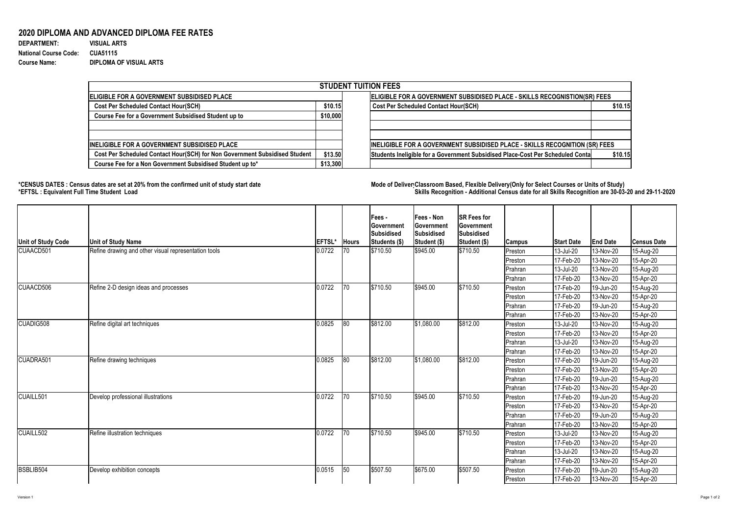## Version 1 Page 1 of 2

## **2020 DIPLOMA AND ADVANCED DIPLOMA FEE RATES**

| <b>DEPARTMENT:</b>           |  |
|------------------------------|--|
| <b>National Course Code:</b> |  |
| <b>Course Name:</b>          |  |

**DEPARTMENT: VISUAL ARTS** 970 1 0.001030928 **National Course Code: CUA51115 Course Name: DIPLOMA OF VISUAL ARTS**

## **\*CENSUS DATES : Census dates are set at 20% from the confirmed unit of study start date Mode of DeliveryClassroom Based, Flexible Delivery(Only for Select Courses or Units of Study) \*EFTSL : Equivalent Full Time Student Load Skills Recognition - Additional Census date for all Skills Recognition are 30-03-20 and 29-11-2020**



| <b>STUDENT TUITION FEES</b>                                                |                                                                           |                                                                                |         |  |  |  |  |  |
|----------------------------------------------------------------------------|---------------------------------------------------------------------------|--------------------------------------------------------------------------------|---------|--|--|--|--|--|
| <b>IELIGIBLE FOR A GOVERNMENT SUBSIDISED PLACE</b>                         | ELIGIBLE FOR A GOVERNMENT SUBSIDISED PLACE - SKILLS RECOGNISTION(SR) FEES |                                                                                |         |  |  |  |  |  |
| <b>Cost Per Scheduled Contact Hour(SCH)</b>                                | \$10.15                                                                   | <b>Cost Per Scheduled Contact Hour(SCH)</b>                                    | \$10.15 |  |  |  |  |  |
| <b>Course Fee for a Government Subsidised Student up to</b>                | \$10,000                                                                  |                                                                                |         |  |  |  |  |  |
| INELIGIBLE FOR A GOVERNMENT SUBSIDISED PLACE                               |                                                                           | INELIGIBLE FOR A GOVERNMENT SUBSIDISED PLACE - SKILLS RECOGNITION (SR) FEES    |         |  |  |  |  |  |
| Cost Per Scheduled Contact Hour(SCH) for Non Government Subsidised Student | \$13.50                                                                   | Students Ineligible for a Government Subsidised Place-Cost Per Scheduled Conta | \$10.15 |  |  |  |  |  |
| Course Fee for a Non Government Subsidised Student up to*                  | \$13,300                                                                  |                                                                                |         |  |  |  |  |  |

| Unit of Study Code | <b>Unit of Study Name</b>                            | <b>EFTSL*</b> | <b>Hours</b> | <b>Fees-</b><br>∣Government<br>Subsidised<br>Students (\$) | <b>Fees - Non</b><br>Government<br>Subsidised<br>Student (\$) | <b>SR Fees for</b><br><b> Government</b><br>Subsidised<br>Student (\$) | <b>Campus</b>  | <b>Start Date</b>        | <b>End Date</b> | ∣Census Date |
|--------------------|------------------------------------------------------|---------------|--------------|------------------------------------------------------------|---------------------------------------------------------------|------------------------------------------------------------------------|----------------|--------------------------|-----------------|--------------|
| CUAACD501          | Refine drawing and other visual representation tools | 0.0722        | $ 70\rangle$ | \$710.50                                                   | \$945.00                                                      | \$710.50                                                               | Preston        | 13-Jul-20                | 13-Nov-20       | 15-Aug-20    |
|                    |                                                      |               |              |                                                            |                                                               |                                                                        | Preston        | 17-Feb-20                | 13-Nov-20       | 15-Apr-20    |
|                    |                                                      |               |              |                                                            |                                                               |                                                                        | Prahran        | 13-Jul-20                | 13-Nov-20       | 15-Aug-20    |
|                    |                                                      |               |              |                                                            |                                                               |                                                                        | Prahran        | 17-Feb-20                | 13-Nov-20       | 15-Apr-20    |
| CUAACD506          | Refine 2-D design ideas and processes                | 0.0722        | $ 70\rangle$ | \$710.50                                                   | \$945.00                                                      | \$710.50                                                               | Preston        | 17-Feb-20                | 19-Jun-20       | 15-Aug-20    |
|                    |                                                      |               |              |                                                            |                                                               |                                                                        | Preston        | 17-Feb-20                | 13-Nov-20       | 15-Apr-20    |
|                    |                                                      |               |              |                                                            |                                                               |                                                                        | Prahran        | 17-Feb-20                | 19-Jun-20       | 15-Aug-20    |
|                    |                                                      |               |              |                                                            |                                                               |                                                                        | <b>Prahran</b> | 17-Feb-20                | 13-Nov-20       | 15-Apr-20    |
| CUADIG508          | Refine digital art techniques                        | 0.0825        | 80           | \$812.00                                                   | \$1,080.00                                                    | \$812.00                                                               | Preston        | 13-Jul-20                | 13-Nov-20       | 15-Aug-20    |
|                    |                                                      |               |              |                                                            |                                                               |                                                                        | Preston        | 17-Feb-20                | 13-Nov-20       | 15-Apr-20    |
|                    |                                                      |               |              |                                                            |                                                               |                                                                        | Prahran        | 13-Jul-20                | 13-Nov-20       | 15-Aug-20    |
|                    |                                                      |               |              |                                                            |                                                               |                                                                        | Prahran        | 17-Feb-20                | 13-Nov-20       | 15-Apr-20    |
| CUADRA501          | Refine drawing techniques                            | 0.0825        | 80           | \$812.00                                                   | \$1,080.00                                                    | \$812.00                                                               | Preston        | 17-Feb-20                | 19-Jun-20       | 15-Aug-20    |
|                    |                                                      |               |              |                                                            |                                                               |                                                                        | Preston        | $ 17 - \text{Feb} - 20 $ | 13-Nov-20       | $15-Apr-20$  |
|                    |                                                      |               |              |                                                            |                                                               |                                                                        | Prahran        | 17-Feb-20                | 19-Jun-20       | 15-Aug-20    |
|                    |                                                      |               |              |                                                            |                                                               |                                                                        | Prahran        | 17-Feb-20                | 13-Nov-20       | 15-Apr-20    |
| CUAILL501          | Develop professional illustrations                   | 0.0722        | $ 70\rangle$ | \$710.50                                                   | \$945.00                                                      | \$710.50                                                               | Preston        | 17-Feb-20                | 19-Jun-20       | 15-Aug-20    |
|                    |                                                      |               |              |                                                            |                                                               |                                                                        | Preston        | 17-Feb-20                | 13-Nov-20       | 15-Apr-20    |
|                    |                                                      |               |              |                                                            |                                                               |                                                                        | Prahran        | 17-Feb-20                | 19-Jun-20       | 15-Aug-20    |
|                    |                                                      |               |              |                                                            |                                                               |                                                                        | Prahran        | 17-Feb-20                | 13-Nov-20       | 15-Apr-20    |
| CUAILL502          | Refine illustration techniques                       | 0.0722        | $ 70\rangle$ | \$710.50                                                   | \$945.00                                                      | \$710.50                                                               | Preston        | 13-Jul-20                | 13-Nov-20       | 15-Aug-20    |
|                    |                                                      |               |              |                                                            |                                                               |                                                                        | Preston        | 17-Feb-20                | 13-Nov-20       | 15-Apr-20    |
|                    |                                                      |               |              |                                                            |                                                               |                                                                        | Prahran        | 13-Jul-20                | 13-Nov-20       | 15-Aug-20    |
|                    |                                                      |               |              |                                                            |                                                               |                                                                        | Prahran        | 17-Feb-20                | 13-Nov-20       | 15-Apr-20    |
| BSBLIB504          | Develop exhibition concepts                          | 0.0515        | 50           | \$507.50                                                   | \$675.00                                                      | \$507.50                                                               | Preston        | 17-Feb-20                | 19-Jun-20       | 15-Aug-20    |
|                    |                                                      |               |              |                                                            |                                                               |                                                                        | Preston        | $ 17 - \text{Feb} - 20 $ | 13-Nov-20       | 15-Apr-20    |